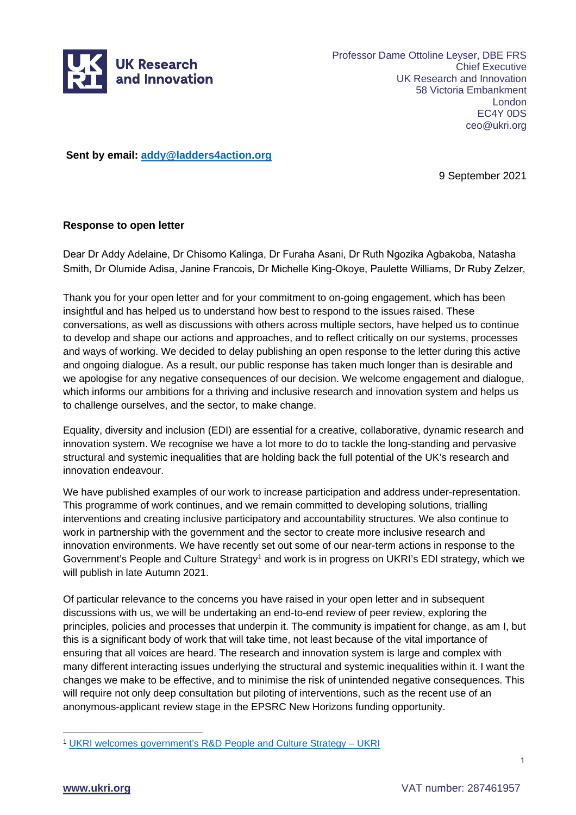

Professor Dame Ottoline Leyser, DBE FRS Chief Executive UK Research and Innovation 58 Victoria Embankment London EC4Y 0DS ceo@ukri.org

**Sent by email: [addy@ladders4action.org](mailto:addy@ladders4action.org)**

9 September 2021

#### **Response to open letter**

Dear Dr Addy Adelaine, Dr Chisomo Kalinga, Dr Furaha Asani, Dr Ruth Ngozika Agbakoba, Natasha Smith, Dr Olumide Adisa, Janine Francois, Dr Michelle King-Okoye, Paulette Williams, Dr Ruby Zelzer,

Thank you for your open letter and for your commitment to on-going engagement, which has been insightful and has helped us to understand how best to respond to the issues raised. These conversations, as well as discussions with others across multiple sectors, have helped us to continue to develop and shape our actions and approaches, and to reflect critically on our systems, processes and ways of working. We decided to delay publishing an open response to the letter during this active and ongoing dialogue. As a result, our public response has taken much longer than is desirable and we apologise for any negative consequences of our decision. We welcome engagement and dialogue, which informs our ambitions for a thriving and inclusive research and innovation system and helps us to challenge ourselves, and the sector, to make change.

Equality, diversity and inclusion (EDI) are essential for a creative, collaborative, dynamic research and innovation system. We recognise we have a lot more to do to tackle the long-standing and pervasive structural and systemic inequalities that are holding back the full potential of the UK's research and innovation endeavour.

We have published examples of our work to increase participation and address under-representation. This programme of work continues, and we remain committed to developing solutions, trialling interventions and creating inclusive participatory and accountability structures. We also continue to work in partnership with the government and the sector to create more inclusive research and innovation environments. We have recently set out some of our near-term actions in response to the Government's People and Culture Strategy<sup>[1](#page-0-0)</sup> and work is in progress on UKRI's EDI strategy, which we will publish in late Autumn 2021.

Of particular relevance to the concerns you have raised in your open letter and in subsequent discussions with us, we will be undertaking an end-to-end review of peer review, exploring the principles, policies and processes that underpin it. The community is impatient for change, as am I, but this is a significant body of work that will take time, not least because of the vital importance of ensuring that all voices are heard. The research and innovation system is large and complex with many different interacting issues underlying the structural and systemic inequalities within it. I want the changes we make to be effective, and to minimise the risk of unintended negative consequences. This will require not only deep consultation but piloting of interventions, such as the recent use of an anonymous-applicant review stage in the EPSRC New Horizons funding opportunity.

1

<span id="page-0-0"></span><sup>1</sup> [UKRI welcomes government's R&D People and Culture Strategy – UKRI](https://www.ukri.org/news/ukri-welcomes-governments-rd-people-and-culture-strategy/)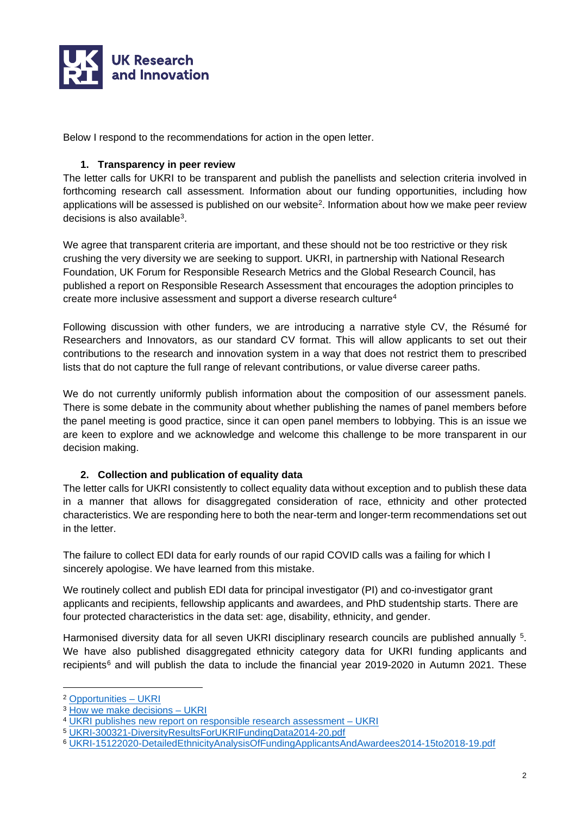

Below I respond to the recommendations for action in the open letter.

#### **1. Transparency in peer review**

The letter calls for UKRI to be transparent and publish the panellists and selection criteria involved in forthcoming research call assessment. Information about our funding opportunities, including how applications will be assessed is published on our website<sup>2</sup>. Information about how we make peer review decisions is also availabl[e3](#page-1-1).

We agree that transparent criteria are important, and these should not be too restrictive or they risk crushing the very diversity we are seeking to support. UKRI, in partnership with National Research Foundation, UK Forum for Responsible Research Metrics and the Global Research Council, has published a report on Responsible Research Assessment that encourages the adoption principles to create more inclusive assessment and support a diverse research culture<sup>[4](#page-1-2)</sup>

Following discussion with other funders, we are introducing a narrative style CV, the Résumé for Researchers and Innovators, as our standard CV format. This will allow applicants to set out their contributions to the research and innovation system in a way that does not restrict them to prescribed lists that do not capture the full range of relevant contributions, or value diverse career paths.

We do not currently uniformly publish information about the composition of our assessment panels. There is some debate in the community about whether publishing the names of panel members before the panel meeting is good practice, since it can open panel members to lobbying. This is an issue we are keen to explore and we acknowledge and welcome this challenge to be more transparent in our decision making.

### **2. Collection and publication of equality data**

The letter calls for UKRI consistently to collect equality data without exception and to publish these data in a manner that allows for disaggregated consideration of race, ethnicity and other protected characteristics. We are responding here to both the near-term and longer-term recommendations set out in the letter.

The failure to collect EDI data for early rounds of our rapid COVID calls was a failing for which I sincerely apologise. We have learned from this mistake.

We routinely collect and publish EDI data for principal investigator (PI) and co-investigator grant applicants and recipients, fellowship applicants and awardees, and PhD studentship starts. There are four protected characteristics in the data set: age, disability, ethnicity, and gender.

Harmonised diversity data for all seven UKRI disciplinary research councils are published annually <sup>[5](#page-1-3)</sup>. We have also published disaggregated ethnicity category data for UKRI funding applicants and recipients<sup>[6](#page-1-4)</sup> and will publish the data to include the financial year 2019-2020 in Autumn 2021. These

<span id="page-1-0"></span><sup>2</sup> [Opportunities – UKRI](https://www.ukri.org/opportunity/)

<span id="page-1-1"></span><sup>&</sup>lt;sup>3</sup> How we make decisions - UKRI

<span id="page-1-2"></span><sup>4</sup> UKRI publishes new report on responsible research assessment - UKRI

<span id="page-1-3"></span><sup>5</sup> [UKRI-300321-DiversityResultsForUKRIFundingData2014-20.pdf](https://www.ukri.org/wp-content/uploads/2021/03/UKRI-300321-DiversityResultsForUKRIFundingData2014-20.pdf)

<span id="page-1-4"></span><sup>6</sup> [UKRI-15122020-DetailedEthnicityAnalysisOfFundingApplicantsAndAwardees2014-15to2018-19.pdf](https://www.ukri.org/wp-content/uploads/2020/12/UKRI-15122020-DetailedEthnicityAnalysisOfFundingApplicantsAndAwardees2014-15to2018-19.pdf)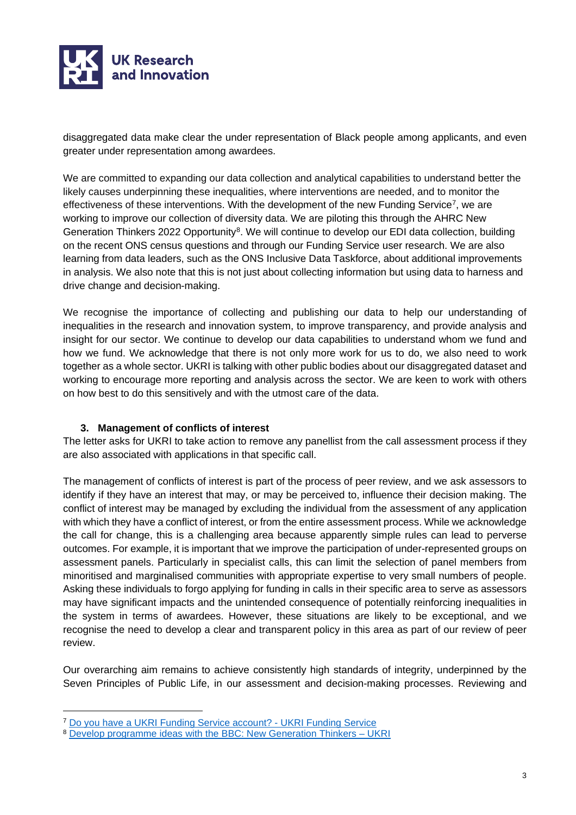

disaggregated data make clear the under representation of Black people among applicants, and even greater under representation among awardees.

We are committed to expanding our data collection and analytical capabilities to understand better the likely causes underpinning these inequalities, where interventions are needed, and to monitor the effectiveness of these interventions. With the development of the new Funding Service<sup>[7](#page-2-0)</sup>, we are working to improve our collection of diversity data. We are piloting this through the AHRC New Generation Thinkers 2022 Opportunity<sup>[8](#page-2-1)</sup>. We will continue to develop our EDI data collection, building on the recent ONS census questions and through our Funding Service user research. We are also learning from data leaders, such as the ONS Inclusive Data Taskforce, about additional improvements in analysis. We also note that this is not just about collecting information but using data to harness and drive change and decision-making.

We recognise the importance of collecting and publishing our data to help our understanding of inequalities in the research and innovation system, to improve transparency, and provide analysis and insight for our sector. We continue to develop our data capabilities to understand whom we fund and how we fund. We acknowledge that there is not only more work for us to do, we also need to work together as a whole sector. UKRI is talking with other public bodies about our disaggregated dataset and working to encourage more reporting and analysis across the sector. We are keen to work with others on how best to do this sensitively and with the utmost care of the data.

### **3. Management of conflicts of interest**

The letter asks for UKRI to take action to remove any panellist from the call assessment process if they are also associated with applications in that specific call.

The management of conflicts of interest is part of the process of peer review, and we ask assessors to identify if they have an interest that may, or may be perceived to, influence their decision making. The conflict of interest may be managed by excluding the individual from the assessment of any application with which they have a conflict of interest, or from the entire assessment process. While we acknowledge the call for change, this is a challenging area because apparently simple rules can lead to perverse outcomes. For example, it is important that we improve the participation of under-represented groups on assessment panels. Particularly in specialist calls, this can limit the selection of panel members from minoritised and marginalised communities with appropriate expertise to very small numbers of people. Asking these individuals to forgo applying for funding in calls in their specific area to serve as assessors may have significant impacts and the unintended consequence of potentially reinforcing inequalities in the system in terms of awardees. However, these situations are likely to be exceptional, and we recognise the need to develop a clear and transparent policy in this area as part of our review of peer review.

Our overarching aim remains to achieve consistently high standards of integrity, underpinned by the Seven Principles of Public Life, in our assessment and decision-making processes. Reviewing and

<span id="page-2-0"></span><sup>7</sup> [Do you have a UKRI Funding Service account? - UKRI Funding Service](https://funding-service.ukri.org/OPP034/apply/34)

<span id="page-2-1"></span><sup>8</sup> Develop programme ideas with the BBC: New Generation Thinkers - UKRI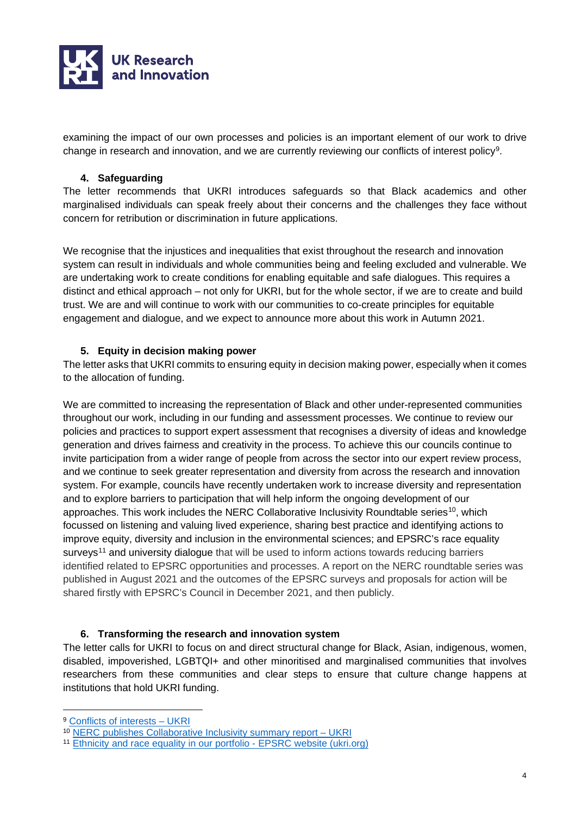

examining the impact of our own processes and policies is an important element of our work to drive change in research and innovation, and we are currently reviewing our conflicts of interest policy[9](#page-3-0).

## **4. Safeguarding**

The letter recommends that UKRI introduces safeguards so that Black academics and other marginalised individuals can speak freely about their concerns and the challenges they face without concern for retribution or discrimination in future applications.

We recognise that the injustices and inequalities that exist throughout the research and innovation system can result in individuals and whole communities being and feeling excluded and vulnerable. We are undertaking work to create conditions for enabling equitable and safe dialogues. This requires a distinct and ethical approach – not only for UKRI, but for the whole sector, if we are to create and build trust. We are and will continue to work with our communities to co-create principles for equitable engagement and dialogue, and we expect to announce more about this work in Autumn 2021.

# **5. Equity in decision making power**

The letter asks that UKRI commits to ensuring equity in decision making power, especially when it comes to the allocation of funding.

We are committed to increasing the representation of Black and other under-represented communities throughout our work, including in our funding and assessment processes. We continue to review our policies and practices to support expert assessment that recognises a diversity of ideas and knowledge generation and drives fairness and creativity in the process. To achieve this our councils continue to invite participation from a wider range of people from across the sector into our expert review process, and we continue to seek greater representation and diversity from across the research and innovation system. For example, councils have recently undertaken work to increase diversity and representation and to explore barriers to participation that will help inform the ongoing development of our approaches. This work includes the NERC Collaborative Inclusivity Roundtable series<sup>10</sup>, which focussed on listening and valuing lived experience, sharing best practice and identifying actions to improve equity, diversity and inclusion in the environmental sciences; and EPSRC's race equality surveys<sup>[11](#page-3-2)</sup> and university dialogue that will be used to inform actions towards reducing barriers identified related to EPSRC opportunities and processes. A report on the NERC roundtable series was published in August 2021 and the outcomes of the EPSRC surveys and proposals for action will be shared firstly with EPSRC's Council in December 2021, and then publicly.

### **6. Transforming the research and innovation system**

The letter calls for UKRI to focus on and direct structural change for Black, Asian, indigenous, women, disabled, impoverished, LGBTQI+ and other minoritised and marginalised communities that involves researchers from these communities and clear steps to ensure that culture change happens at institutions that hold UKRI funding.

<span id="page-3-0"></span><sup>&</sup>lt;sup>9</sup> Conflicts of interests - UKRI

<span id="page-3-1"></span><sup>10</sup> [NERC publishes Collaborative Inclusivity summary report – UKRI](https://www.ukri.org/news/nerc-publishes-collaborative-inclusivity-summary-report/)

<span id="page-3-2"></span><sup>11</sup> [Ethnicity and race equality in our portfolio - EPSRC website \(ukri.org\)](https://epsrc.ukri.org/funding/edi-at-epsrc/ethnicity-and-race-equality/)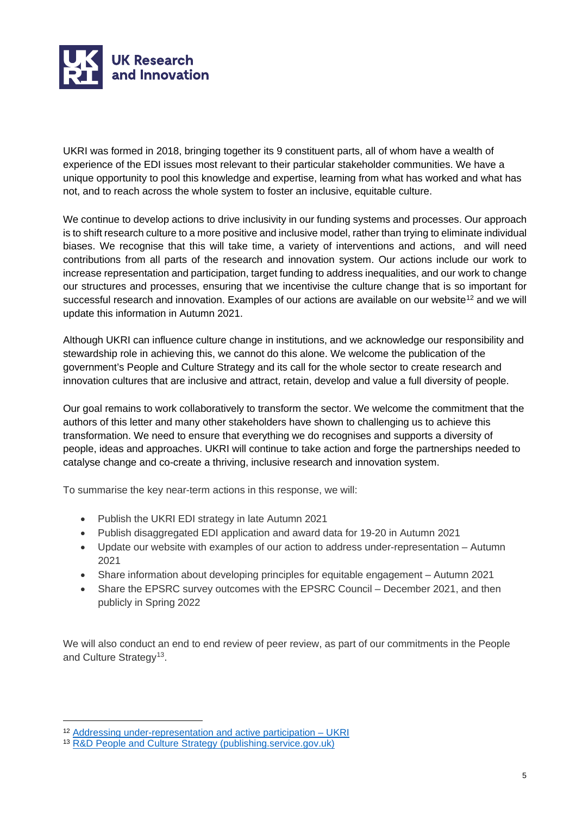

UKRI was formed in 2018, bringing together its 9 constituent parts, all of whom have a wealth of experience of the EDI issues most relevant to their particular stakeholder communities. We have a unique opportunity to pool this knowledge and expertise, learning from what has worked and what has not, and to reach across the whole system to foster an inclusive, equitable culture.

We continue to develop actions to drive inclusivity in our funding systems and processes. Our approach is to shift research culture to a more positive and inclusive model, rather than trying to eliminate individual biases. We recognise that this will take time, a variety of interventions and actions, and will need contributions from all parts of the research and innovation system. Our actions include our work to increase representation and participation, target funding to address inequalities, and our work to change our structures and processes, ensuring that we incentivise the culture change that is so important for successful research and innovation. Examples of our actions are available on our website<sup>[12](#page-4-0)</sup> and we will update this information in Autumn 2021.

Although UKRI can influence culture change in institutions, and we acknowledge our responsibility and stewardship role in achieving this, we cannot do this alone. We welcome the publication of the government's People and Culture Strategy and its call for the whole sector to create research and innovation cultures that are inclusive and attract, retain, develop and value a full diversity of people.

Our goal remains to work collaboratively to transform the sector. We welcome the commitment that the authors of this letter and many other stakeholders have shown to challenging us to achieve this transformation. We need to ensure that everything we do recognises and supports a diversity of people, ideas and approaches. UKRI will continue to take action and forge the partnerships needed to catalyse change and co-create a thriving, inclusive research and innovation system.

To summarise the key near-term actions in this response, we will:

- Publish the UKRI EDI strategy in late Autumn 2021
- Publish disaggregated EDI application and award data for 19-20 in Autumn 2021
- Update our website with examples of our action to address under-representation Autumn 2021
- Share information about developing principles for equitable engagement Autumn 2021
- Share the EPSRC survey outcomes with the EPSRC Council December 2021, and then publicly in Spring 2022

We will also conduct an end to end review of peer review, as part of our commitments in the People and Culture Strategy<sup>13</sup>.

<span id="page-4-0"></span><sup>12</sup> [Addressing under-representation and active participation – UKRI](https://www.ukri.org/our-work/supporting-healthy-research-and-innovation-culture/equality-diversity-and-inclusion/addressing-under-representation-and-active-participation/)

<span id="page-4-1"></span><sup>13</sup> [R&D People and Culture Strategy \(publishing.service.gov.uk\)](https://assets.publishing.service.gov.uk/government/uploads/system/uploads/attachment_data/file/1004685/r_d-people-culture-strategy.pdf)